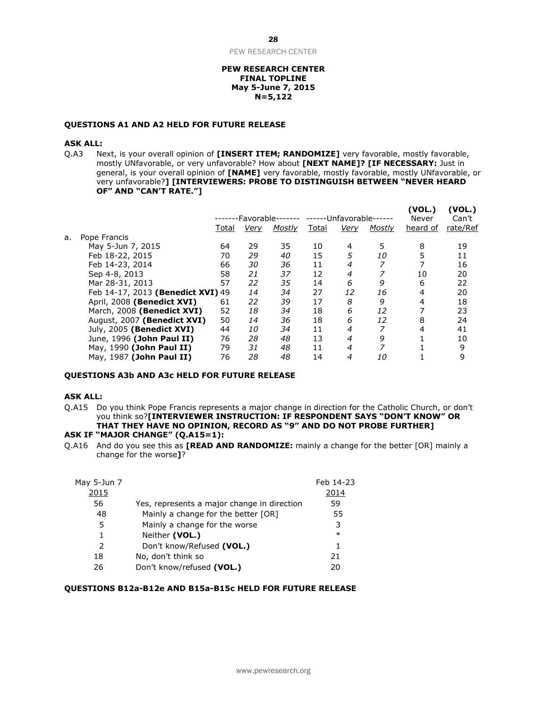PEW RESEARCH CENTER

#### **PEW RESEARCH CENTER FINAL TOPLINE May 5-June 7, 2015 N=5,122**

#### **QUESTIONS A1 AND A2 HELD FOR FUTURE RELEASE**

#### **ASK ALL:**

Q.A3 Next, is your overall opinion of **[INSERT ITEM; RANDOMIZE]** very favorable, mostly favorable, mostly UNfavorable, or very unfavorable? How about **[NEXT NAME]? [IF NECESSARY:** Just in general, is your overall opinion of **[NAME]** very favorable, mostly favorable, mostly UNfavorable, or very unfavorable?**] [INTERVIEWERS: PROBE TO DISTINGUISH BETWEEN "NEVER HEARD OF" AND "CAN'T RATE."]**

**(VOL.) (VOL.)**

|    |                                   | -Favorable- |           |        | -Unfavorable- |      |        | VUL.)<br>Never | VUL.)<br>Can't |
|----|-----------------------------------|-------------|-----------|--------|---------------|------|--------|----------------|----------------|
|    |                                   | Total       | Very      | Mostly | Total         | Very | Mostly | heard of       | rate/Ref       |
| a. | Pope Francis                      |             |           |        |               |      |        |                |                |
|    | May 5-Jun 7, 2015                 | 64          | 29        | 35     | 10            | 4    | 5      | 8              | 19             |
|    | Feb 18-22, 2015                   | 70          | 29        | 40     | 15            | 5    | 10     | 5              | 11             |
|    | Feb 14-23, 2014                   | 66          | 30        | 36     | 11            | 4    | 7      |                | 16             |
|    | Sep 4-8, 2013                     | 58          | 21        | 37     | 12            | 4    | 7      | 10             | 20             |
|    | Mar 28-31, 2013                   | 57          | 22        | 35     | 14            | 6    | 9      | 6              | 22             |
|    | Feb 14-17, 2013 (Benedict XVI) 49 |             | 14        | 34     | 27            | 12   | 16     | 4              | 20             |
|    | April, 2008 (Benedict XVI)        | 61          | 22        | 39     | 17            | 8    | 9      | 4              | 18             |
|    | March, 2008 (Benedict XVI)        | 52          | 18        | 34     | 18            | 6    | 12     |                | 23             |
|    | August, 2007 (Benedict XVI)       | 50          | 14        | 36     | 18            | 6    | 12     | 8              | 24             |
|    | July, 2005 (Benedict XVI)         | 44          | <i>10</i> | 34     | 11            | 4    | 7      | 4              | 41             |
|    | June, 1996 (John Paul II)         | 76          | 28        | 48     | 13            | 4    | 9      |                | 10             |
|    | May, 1990 (John Paul II)          | 79          | 31        | 48     | 11            | 4    | 7      |                | 9              |
|    | May, 1987 (John Paul II)          | 76          | 28        | 48     | 14            | 4    | 10     |                | 9              |
|    |                                   |             |           |        |               |      |        |                |                |

#### **QUESTIONS A3b AND A3c HELD FOR FUTURE RELEASE**

#### **ASK ALL:**

Q.A15 Do you think Pope Francis represents a major change in direction for the Catholic Church, or don't you think so?**[INTERVIEWER INSTRUCTION: IF RESPONDENT SAYS "DON'T KNOW" OR THAT THEY HAVE NO OPINION, RECORD AS "9" AND DO NOT PROBE FURTHER]**

### **ASK IF "MAJOR CHANGE" (Q.A15=1):**

Q.A16 And do you see this as **[READ AND RANDOMIZE:** mainly a change for the better [OR] mainly a change for the worse**]**?

| May 5-Jun 7   |                                             | Feb 14-23 |
|---------------|---------------------------------------------|-----------|
| 2015          |                                             | 2014      |
| 56            | Yes, represents a major change in direction | 59        |
| 48            | Mainly a change for the better [OR]         | 55        |
| 5             | Mainly a change for the worse               | 3         |
| 1             | Neither (VOL.)                              | $\ast$    |
| $\mathcal{P}$ | Don't know/Refused (VOL.)                   | 1         |
| 18            | No, don't think so                          | 21        |
| 26            | Don't know/refused (VOL.)                   | 20        |

# **QUESTIONS B12a-B12e AND B15a-B15c HELD FOR FUTURE RELEASE**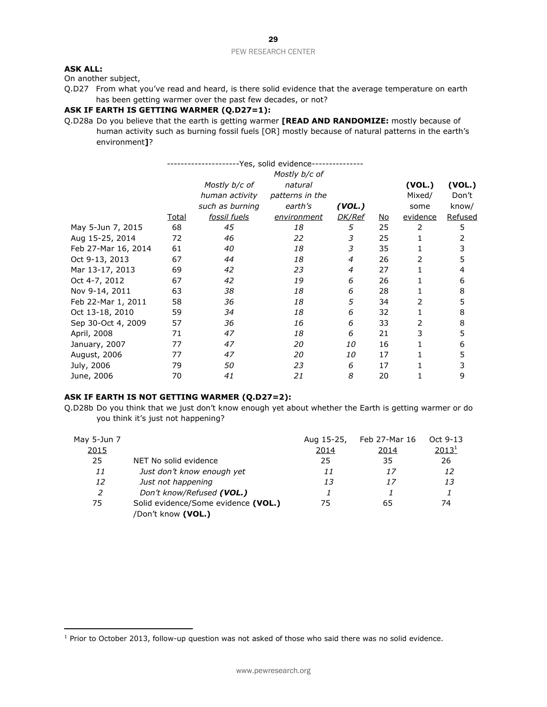# **ASK ALL:**

 $\overline{\phantom{a}}$ 

On another subject,

Q.D27 From what you've read and heard, is there solid evidence that the average temperature on earth has been getting warmer over the past few decades, or not?

#### **ASK IF EARTH IS GETTING WARMER (Q.D27=1):**

Q.D28a Do you believe that the earth is getting warmer **[READ AND RANDOMIZE:** mostly because of human activity such as burning fossil fuels [OR] mostly because of natural patterns in the earth's environment**]**?

| -Yes, solid evidence- |               |                     |                 |               |           |          |         |
|-----------------------|---------------|---------------------|-----------------|---------------|-----------|----------|---------|
|                       | Mostly b/c of |                     |                 |               |           |          |         |
|                       |               | Mostly b/c of       | natural         |               |           | (VOL.)   | (VOL.)  |
|                       |               | human activity      | patterns in the |               |           | Mixed/   | Don't   |
|                       |               | such as burning     | earth's         | (VOL.)        |           | some     | know/   |
|                       | <u>Total</u>  | <u>fossil fuels</u> | environment     | <b>DK/Ref</b> | <u>No</u> | evidence | Refused |
| May 5-Jun 7, 2015     | 68            | 45                  | 18              | 5             | 25        | 2        | 5       |
| Aug 15-25, 2014       | 72            | 46                  | 22              | 3             | 25        |          | 2       |
| Feb 27-Mar 16, 2014   | 61            | 40                  | 18              | 3             | 35        |          | 3       |
| Oct 9-13, 2013        | 67            | 44                  | 18              | 4             | 26        | 2        | 5       |
| Mar 13-17, 2013       | 69            | 42                  | 23              | 4             | 27        | 1        | 4       |
| Oct 4-7, 2012         | 67            | 42                  | 19              | 6             | 26        |          | 6       |
| Nov 9-14, 2011        | 63            | 38                  | 18              | 6             | 28        |          | 8       |
| Feb 22-Mar 1, 2011    | 58            | 36                  | 18              | 5             | 34        | 2        | 5       |
| Oct 13-18, 2010       | 59            | 34                  | 18              | 6             | 32        |          | 8       |
| Sep 30-Oct 4, 2009    | 57            | 36                  | 16              | 6             | 33        | 2        | 8       |
| April, 2008           | 71            | 47                  | 18              | 6             | 21        | 3        | 5       |
| January, 2007         | 77            | 47                  | 20              | 10            | 16        |          | 6       |
| August, 2006          | 77            | 47                  | 20              | 10            | 17        |          | 5       |
| July, 2006            | 79            | 50                  | 23              | 6             | 17        |          | 3       |
| June, 2006            | 70            | 41                  | 21              | 8             | 20        |          | 9       |

### **ASK IF EARTH IS NOT GETTING WARMER (Q.D27=2):**

Q.D28b Do you think that we just don't know enough yet about whether the Earth is getting warmer or do you think it's just not happening?

| May 5-Jun 7  |                                     | Aug 15-25,   | Feb 27-Mar 16 | Oct 9-13          |
|--------------|-------------------------------------|--------------|---------------|-------------------|
| <u> 2015</u> |                                     | <u> 2014</u> | 2014          | 2013 <sup>1</sup> |
| 25           | NET No solid evidence               | 25           | 35            | 26                |
| 11           | Just don't know enough yet          | 11           | 17            | 12                |
| 12           | Just not happening                  | 13           | 17            | 13                |
| 2            | Don't know/Refused (VOL.)           |              |               |                   |
| 75           | Solid evidence/Some evidence (VOL.) | 75           | 65            | 74                |
|              | /Don't know (VOL.)                  |              |               |                   |

<sup>&</sup>lt;sup>1</sup> Prior to October 2013, follow-up question was not asked of those who said there was no solid evidence.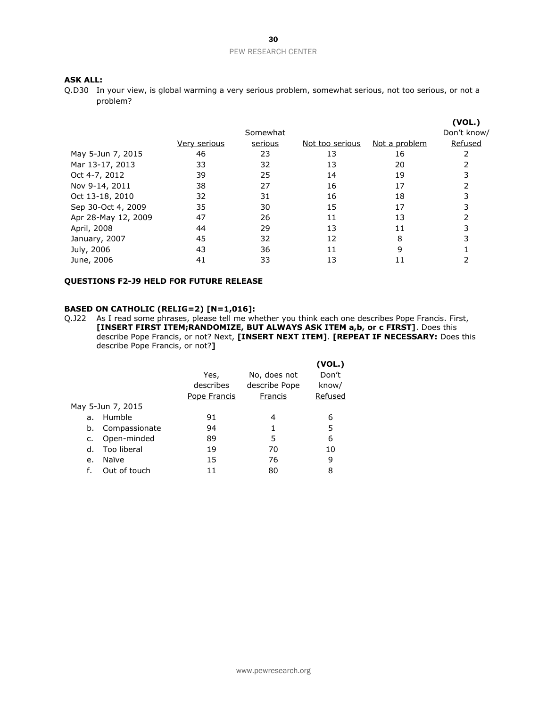### **ASK ALL:**

Q.D30 In your view, is global warming a very serious problem, somewhat serious, not too serious, or not a problem?

|                     |              |          |                 |               | (VOL.)      |
|---------------------|--------------|----------|-----------------|---------------|-------------|
|                     |              | Somewhat |                 |               | Don't know/ |
|                     | Very serious | serious  | Not too serious | Not a problem | Refused     |
| May 5-Jun 7, 2015   | 46           | 23       | 13              | 16            |             |
| Mar 13-17, 2013     | 33           | 32       | 13              | 20            |             |
| Oct 4-7, 2012       | 39           | 25       | 14              | 19            |             |
| Nov 9-14, 2011      | 38           | 27       | 16              | 17            |             |
| Oct 13-18, 2010     | 32           | 31       | 16              | 18            |             |
| Sep 30-Oct 4, 2009  | 35           | 30       | 15              | 17            |             |
| Apr 28-May 12, 2009 | 47           | 26       | 11              | 13            |             |
| April, 2008         | 44           | 29       | 13              | 11            |             |
| January, 2007       | 45           | 32       | 12              | 8             |             |
| July, 2006          | 43           | 36       | 11              | 9             |             |
| June, 2006          | 41           | 33       | 13              |               |             |
|                     |              |          |                 |               |             |

### **QUESTIONS F2-J9 HELD FOR FUTURE RELEASE**

# **BASED ON CATHOLIC (RELIG=2) [N=1,016]:**

Q.J22 As I read some phrases, please tell me whether you think each one describes Pope Francis. First, **[INSERT FIRST ITEM;RANDOMIZE, BUT ALWAYS ASK ITEM a,b, or c FIRST]**. Does this describe Pope Francis, or not? Next, **[INSERT NEXT ITEM]**. **[REPEAT IF NECESSARY:** Does this describe Pope Francis, or not?**]**

|    |                   |              |               | (VOL.)  |
|----|-------------------|--------------|---------------|---------|
|    |                   | Yes,         | No, does not  | Don't   |
|    |                   | describes    | describe Pope | know/   |
|    |                   | Pope Francis | Francis       | Refused |
|    | May 5-Jun 7, 2015 |              |               |         |
| а. | Humble            | 91           | 4             | 6       |
| b. | Compassionate     | 94           |               | 5       |
| c. | Open-minded       | 89           | 5             | 6       |
| d. | Too liberal       | 19           | 70            | 10      |
| e. | Naïve             | 15           | 76            | 9       |
| f. | Out of touch      | 11           | 80            | 8       |